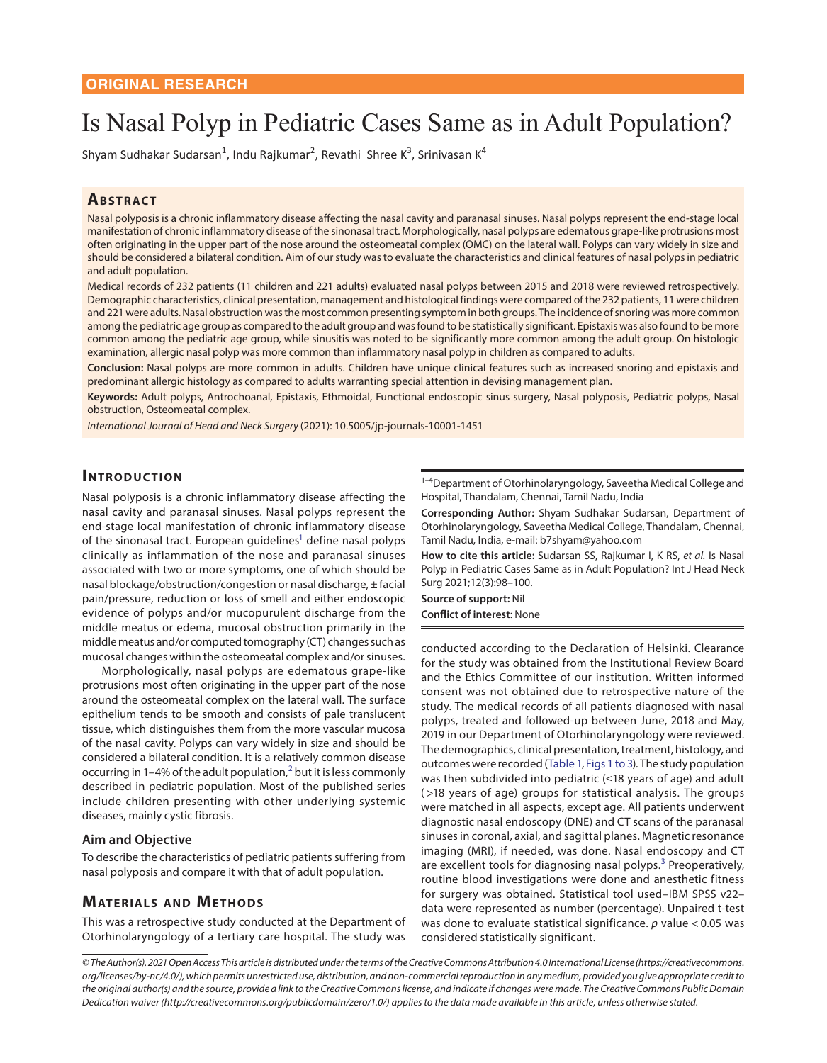# Is Nasal Polyp in Pediatric Cases Same as in Adult Population?

Shyam Sudhakar Sudarsan<sup>1</sup>, Indu Rajkumar<sup>2</sup>, Revathi Shree K<sup>3</sup>, Srinivasan K<sup>4</sup>

### **ABSTRACT**

Nasal polyposis is a chronic inflammatory disease affecting the nasal cavity and paranasal sinuses. Nasal polyps represent the end-stage local manifestation of chronic inflammatory disease of the sinonasal tract. Morphologically, nasal polyps are edematous grape-like protrusions most often originating in the upper part of the nose around the osteomeatal complex (OMC) on the lateral wall. Polyps can vary widely in size and should be considered a bilateral condition. Aim of our study was to evaluate the characteristics and clinical features of nasal polyps in pediatric and adult population.

Medical records of 232 patients (11 children and 221 adults) evaluated nasal polyps between 2015 and 2018 were reviewed retrospectively. Demographic characteristics, clinical presentation, management and histological findings were compared of the 232 patients, 11 were children and 221 were adults. Nasal obstruction was the most common presenting symptom in both groups. The incidence of snoring was more common among the pediatric age group as compared to the adult group and was found to be statistically significant. Epistaxis was also found to be more common among the pediatric age group, while sinusitis was noted to be significantly more common among the adult group. On histologic examination, allergic nasal polyp was more common than inflammatory nasal polyp in children as compared to adults.

**Conclusion:** Nasal polyps are more common in adults. Children have unique clinical features such as increased snoring and epistaxis and predominant allergic histology as compared to adults warranting special attention in devising management plan.

**Keywords:** Adult polyps, Antrochoanal, Epistaxis, Ethmoidal, Functional endoscopic sinus surgery, Nasal polyposis, Pediatric polyps, Nasal obstruction, Osteomeatal complex.

*International Journal of Head and Neck Surgery* (2021): 10.5005/jp-journals-10001-1451

# **INTRODUCTION**

Nasal polyposis is a chronic inflammatory disease affecting the nasal cavity and paranasal sinuses. Nasal polyps represent the end-stage local manifestation of chronic inflammatory disease of the sinonasal tract. European guidelines<sup>1</sup> define nasal polyps clinically as inflammation of the nose and paranasal sinuses associated with two or more symptoms, one of which should be nasal blockage/obstruction/congestion or nasal discharge, ± facial pain/pressure, reduction or loss of smell and either endoscopic evidence of polyps and/or mucopurulent discharge from the middle meatus or edema, mucosal obstruction primarily in the middle meatus and/or computed tomography (CT) changes such as mucosal changes within the osteomeatal complex and/or sinuses.

Morphologically, nasal polyps are edematous grape-like protrusions most often originating in the upper part of the nose around the osteomeatal complex on the lateral wall. The surface epithelium tends to be smooth and consists of pale translucent tissue, which distinguishes them from the more vascular mucosa of the nasal cavity. Polyps can vary widely in size and should be considered a bilateral condition. It is a relatively common disease occurring in 1-4% of the adult population, $^2$  $^2$  but it is less commonly described in pediatric population. Most of the published series include children presenting with other underlying systemic diseases, mainly cystic fibrosis.

#### **Aim and Objective**

To describe the characteristics of pediatric patients suffering from nasal polyposis and compare it with that of adult population.

## **MATERIALS AND METHODS**

This was a retrospective study conducted at the Department of Otorhinolaryngology of a tertiary care hospital. The study was

<sup>1-4</sup>Department of Otorhinolaryngology, Saveetha Medical College and Hospital, Thandalam, Chennai, Tamil Nadu, India

**Corresponding Author:** Shyam Sudhakar Sudarsan, Department of Otorhinolaryngology, Saveetha Medical College, Thandalam, Chennai, Tamil Nadu, India, e-mail: b7shyam@yahoo.com

<span id="page-0-2"></span>**How to cite this article:** Sudarsan SS, Rajkumar I, K RS, *et al.* Is Nasal Polyp in Pediatric Cases Same as in Adult Population? Int J Head Neck Surg 2021;12(3):98–100.

**Source of support:** Nil **Conflict of interest**: None

<span id="page-0-4"></span><span id="page-0-3"></span><span id="page-0-1"></span><span id="page-0-0"></span>conducted according to the Declaration of Helsinki. Clearance for the study was obtained from the Institutional Review Board and the Ethics Committee of our institution. Written informed consent was not obtained due to retrospective nature of the study. The medical records of all patients diagnosed with nasal polyps, treated and followed-up between June, 2018 and May, 2019 in our Department of Otorhinolaryngology were reviewed. The demographics, clinical presentation, treatment, histology, and outcomes were recorded [\(Table 1,](#page-1-0) [Figs 1 to 3\)](#page-1-1). The study population was then subdivided into pediatric (≤18 years of age) and adult ( >18 years of age) groups for statistical analysis. The groups were matched in all aspects, except age. All patients underwent diagnostic nasal endoscopy (DNE) and CT scans of the paranasal sinuses in coronal, axial, and sagittal planes. Magnetic resonance imaging (MRI), if needed, was done. Nasal endoscopy and CT are excellent tools for diagnosing nasal polyps.<sup>[3](#page-2-0)</sup> Preoperatively, routine blood investigations were done and anesthetic fitness for surgery was obtained. Statistical tool used–IBM SPSS v22– data were represented as number (percentage). Unpaired t-test was done to evaluate statistical significance. *p* value <0.05 was considered statistically significant.

*<sup>©</sup> The Author(s). 2021 Open Access This article is distributed under the terms of the Creative Commons Attribution 4.0 International License (https://creativecommons. org/licenses/by-nc/4.0/), which permits unrestricted use, distribution, and non-commercial reproduction in any medium, provided you give appropriate credit to the original author(s) and the source, provide a link to the Creative Commons license, and indicate if changes were made. The Creative Commons Public Domain Dedication waiver (http://creativecommons.org/publicdomain/zero/1.0/) applies to the data made available in this article, unless otherwise stated.*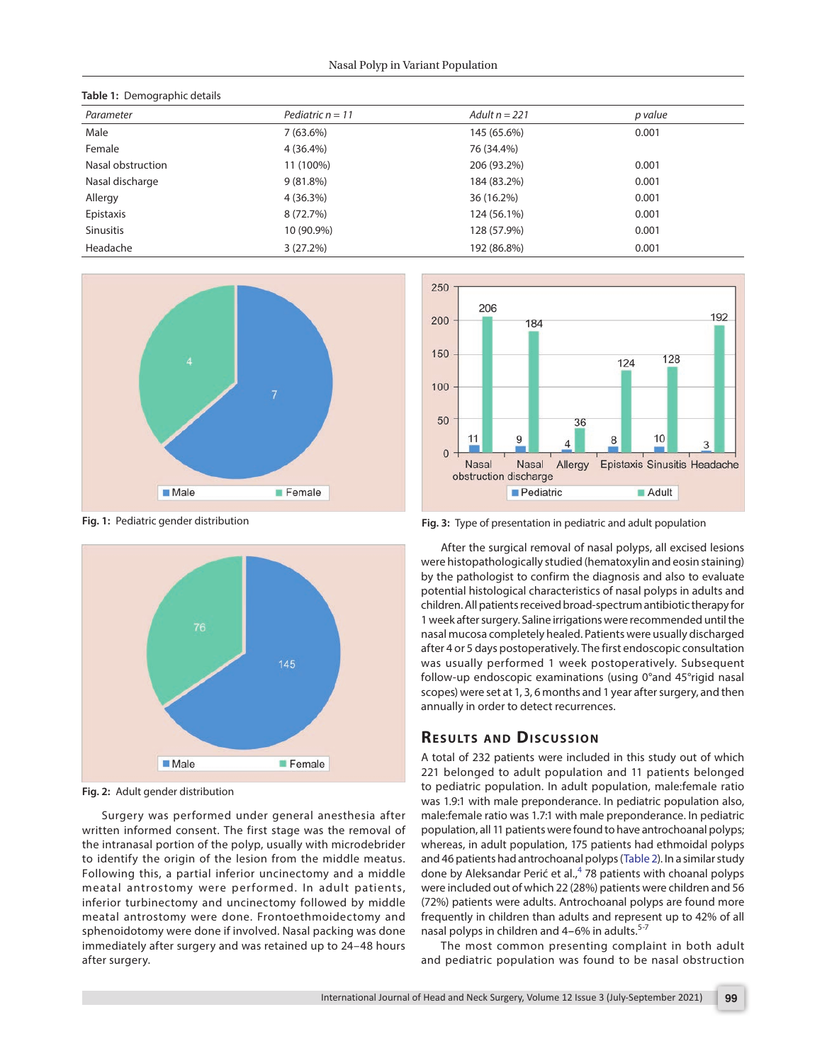<span id="page-1-0"></span>

| Table 1: Demographic details |                    |                 |         |  |  |  |
|------------------------------|--------------------|-----------------|---------|--|--|--|
| Parameter                    | Pediatric $n = 11$ | Adult $n = 221$ | p value |  |  |  |
| Male                         | $7(63.6\%)$        | 145 (65.6%)     | 0.001   |  |  |  |
| Female                       | 4 (36.4%)          | 76 (34.4%)      |         |  |  |  |
| Nasal obstruction            | 11 (100%)          | 206 (93.2%)     | 0.001   |  |  |  |
| Nasal discharge              | $9(81.8\%)$        | 184 (83.2%)     | 0.001   |  |  |  |
| Allergy                      | 4(36.3%)           | 36 (16.2%)      | 0.001   |  |  |  |
| Epistaxis                    | 8 (72.7%)          | 124 (56.1%)     | 0.001   |  |  |  |
| Sinusitis                    | 10 (90.9%)         | 128 (57.9%)     | 0.001   |  |  |  |
| Headache                     | $3(27.2\%)$        | 192 (86.8%)     | 0.001   |  |  |  |



<span id="page-1-1"></span>**[Fig. 1:](#page-0-1)** Pediatric gender distribution



**Fig. 2:** Adult gender distribution

Surgery was performed under general anesthesia after written informed consent. The first stage was the removal of the intranasal portion of the polyp, usually with microdebrider to identify the origin of the lesion from the middle meatus. Following this, a partial inferior uncinectomy and a middle meatal antrostomy were performed. In adult patients, inferior turbinectomy and uncinectomy followed by middle meatal antrostomy were done. Frontoethmoidectomy and sphenoidotomy were done if involved. Nasal packing was done immediately after surgery and was retained up to 24–48 hours after surgery.



**Fig. 3:** Type of presentation in pediatric and adult population

After the surgical removal of nasal polyps, all excised lesions were histopathologically studied (hematoxylin and eosin staining) by the pathologist to confirm the diagnosis and also to evaluate potential histological characteristics of nasal polyps in adults and children. All patients received broad-spectrum antibiotic therapy for 1 week after surgery. Saline irrigations were recommended until the nasal mucosa completely healed. Patients were usually discharged after 4 or 5 days postoperatively. The first endoscopic consultation was usually performed 1 week postoperatively. Subsequent follow-up endoscopic examinations (using 0°and 45°rigid nasal scopes) were set at 1, 3, 6 months and 1 year after surgery, and then annually in order to detect recurrences.

## **RESULTS AND DISCUSSION**

A total of 232 patients were included in this study out of which 221 belonged to adult population and 11 patients belonged to pediatric population. In adult population, male:female ratio was 1.9:1 with male preponderance. In pediatric population also, male:female ratio was 1.7:1 with male preponderance. In pediatric population, all 11 patients were found to have antrochoanal polyps; whereas, in adult population, 175 patients had ethmoidal polyps and 46 patients had antrochoanal polyps ([Table 2](#page-2-3)). In a similar study done by Aleksandar Perić et al.,<sup>[4](#page-2-4)</sup> 78 patients with choanal polyps were included out of which 22 (28%) patients were children and 56 (72%) patients were adults. Antrochoanal polyps are found more frequently in children than adults and represent up to 42% of all nasal polyps in children and 4-6% in adults.<sup>5-7</sup>

<span id="page-1-3"></span><span id="page-1-2"></span>The most common presenting complaint in both adult and pediatric population was found to be nasal obstruction